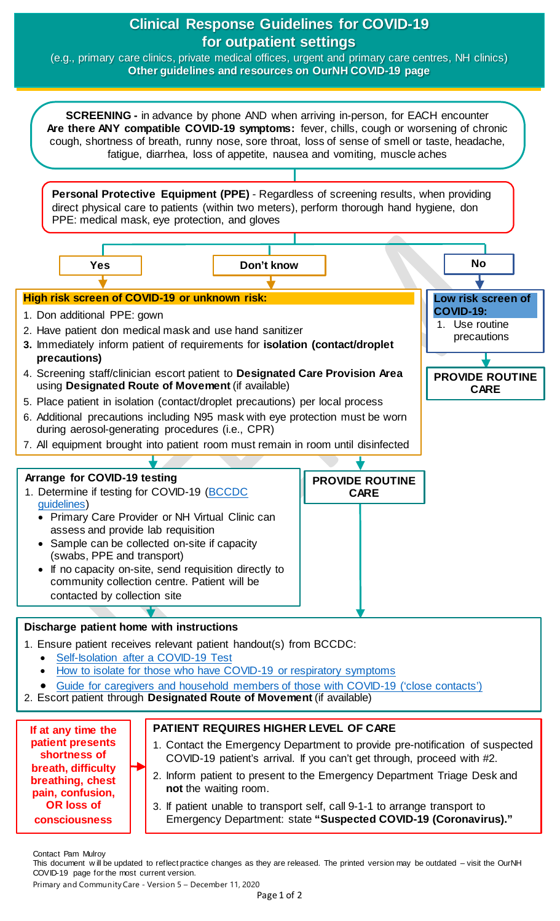# **Clinical Response Guidelines for COVID-19 for outpatient settings**

(e.g., primary care clinics, private medical offices, urgent and primary care centres, NH clinics) **Other guidelines and resources on OurNH COVID-19 page**



- [Guide for caregivers and household members of those](http://www.bccdc.ca/Health-Info-Site/Documents/Self-isolation_caregivers.pdf) with COVID-19 ('close contacts')
- 2. Escort patient through **Designated Route of Movement** (if available)

**If at any time the patient presents shortness of breath, difficulty breathing, chest pain, confusion, OR loss of consciousness** 

### **PATIENT REQUIRES HIGHER LEVEL OF CARE**

- 1. Contact the Emergency Department to provide pre-notification of suspected COVID-19 patient's arrival. If you can't get through, proceed with #2.
- 2. Inform patient to present to the Emergency Department Triage Desk and **not** the waiting room.
- 3. If patient unable to transport self, call 9-1-1 to arrange transport to Emergency Department: state **"Suspected COVID-19 (Coronavirus)."**

Contact Pam Mulroy

This document w ill be updated to reflect practice changes as they are released. The printed version may be outdated – visit the OurNH COVID-19 page for the most current version.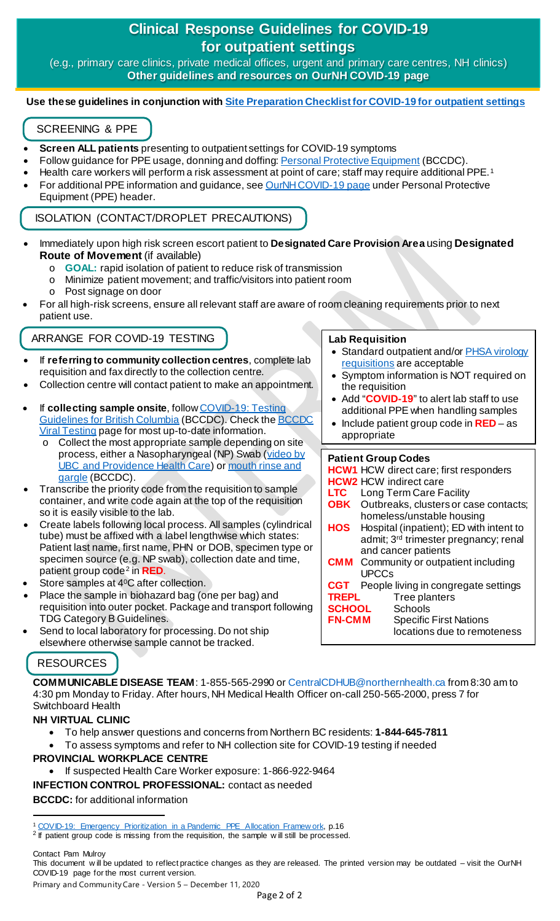# **Clinical Response Guidelines for COVID-19 for outpatient settings**

(e.g., primary care clinics, private medical offices, urgent and primary care centres, NH clinics) **Other guidelines and resources on OurNH COVID-19 page**

#### **Use these guidelines in conjunction wit[h Site Preparation Checklist for COVID-19 for outpatient settings](https://ournh.northernhealth.ca/oursites/communications/OurNH%20Communications%20Documents/site-preparation-checklist-for-covid-19-outpatient-settings.pdf)**

# SCREENING & PPE

- **Screen ALL patients** presenting to outpatient settings for COVID-19 symptoms
- Follow guidance for PPE usage, donning and doffing[: Personal Protective Equipment](http://www.bccdc.ca/health-professionals/clinical-resources/covid-19-care/infection-control/personal-protective-equipment) (BCCDC).
- Health care workers will perform a risk assessment at point of care; staff may require additional PPE.[1](#page-1-0)
- For additional PPE information and guidance, se[e OurNH COVID-19 page](https://ournh.northernhealth.ca/AboutNH/Emergency/Coronavirus/Pages/default.aspx) under Personal Protective Equipment (PPE) header.

ISOLATION (CONTACT/DROPLET PRECAUTIONS)

- Immediately upon high risk screen escort patient to **Designated Care Provision Area** using **Designated Route of Movement** (if available)
	- o **GOAL:** rapid isolation of patient to reduce risk of transmission
	- o Minimize patient movement; and traffic/visitors into patient room
	- o Post signage on door
- For all high-risk screens, ensure all relevant staff are aware of room cleaning requirements prior to next patient use.

### ARRANGE FOR COVID-19 TESTING

- If **referring to community collection centres**, complete lab requisition and fax directly to the collection centre.
- Collection centre will contact patient to make an appointment.
- If **collecting sample onsite**, follo[w COVID-19: Testing](http://www.bccdc.ca/Health-Professionals-Site/Documents/BCCDC_PHL_Updated_nCoV_Lab_Guidance.pdf)  [Guidelines for British Columbia](http://www.bccdc.ca/Health-Professionals-Site/Documents/BCCDC_PHL_Updated_nCoV_Lab_Guidance.pdf) (BCCDC). Check th[e BCCDC](http://www.bccdc.ca/health-professionals/clinical-resources/covid-19-care/lab-testing)  Viral [Testing](http://www.bccdc.ca/health-professionals/clinical-resources/covid-19-care/lab-testing) page for most up-to-date information.
	- o Collect the most appropriate sample depending on site process, either a Nasopharyngeal (NP) Swab (video by [UBC and Providence Health Care\)](https://www.youtube.com/watch?v=f0xSKPm8IKA&feature=youtu.be) o[r mouth rinse and](http://www.bccdc.ca/health-info/diseases-conditions/covid-19/testing/mouth-rinse-and-gargle) [gargle](http://www.bccdc.ca/health-info/diseases-conditions/covid-19/testing/mouth-rinse-and-gargle) (BCCDC).
- Transcribe the priority code from the requisition to sample container, and write code again at the top of the requisition so it is easily visible to the lab.
- Create labels following local process. All samples (cylindrical tube) must be affixed with a label lengthwise which states: Patient last name, first name, PHN or DOB, specimen type or specimen source (e.g. NP swab), collection date and time, patient group code[2](#page-1-1) in **RED**.
- Store samples at 4<sup>0</sup>C after collection.
- Place the sample in biohazard bag (one per bag) and requisition into outer pocket. Package and transport following TDG Category B Guidelines.
- Send to local laboratory for processing. Do not ship elsewhere otherwise sample cannot be tracked.

## RESOURCES

**COMMUNICABLE DISEASE TEAM**: 1-855-565-2990 or CentralCDHUB@northernhealth.ca from 8:30 am to 4:30 pm Monday to Friday. After hours, NH Medical Health Officer on-call 250-565-2000, press 7 for Switchboard Health

## **NH VIRTUAL CLINIC**

- To help answer questions and concerns from Northern BC residents: **[1-844-645-7811](https://stories.northernhealth.ca/stories/1-844-645-7811)**
- To assess symptoms and refer to NH collection site for COVID-19 testing if needed

### **PROVINCIAL WORKPLACE CENTRE**

• If suspected Health Care Worker exposure: 1-866-922-9464

**INFECTION CONTROL PROFESSIONAL:** contact as needed

### **BCCDC:** for additional information

Contact Pam Mulroy

Primary and Community Care - Version 5 – December 11, 2020

#### **Lab Requisition**

- Standard outpatient and/or PHSA virology [requisitions](http://www.bccdc.ca/resource-gallery/Documents/Guidelines%20and%20Forms/Forms/Labs/VI%20Req.pdf) are acceptable
- Symptom information is NOT required on the requisition
- Add "**COVID-19**" to alert lab staff to use additional PPE when handling samples
- Include patient group code in **RED** as appropriate

#### **Patient Group Codes**

|                          | <b>HCW1</b> HCW direct care; first responders     |
|--------------------------|---------------------------------------------------|
|                          | <b>HCW2</b> HCW indirect care                     |
| <b>LTC</b>               | Long Term Care Facility                           |
|                          | <b>OBK</b> Outbreaks, clusters or case contacts;  |
|                          | homeless/unstable housing                         |
| <b>HOS</b>               | Hospital (inpatient); ED with intent to           |
|                          | admit; 3 <sup>rd</sup> trimester pregnancy; renal |
|                          | and cancer patients                               |
|                          | <b>CMM</b> Community or outpatient including      |
|                          | <b>UPCCs</b>                                      |
|                          | <b>CGT</b> People living in congregate settings   |
| <b>TREPL</b>             | Tree planters                                     |
| <b>SCHOOL</b><br>Schools |                                                   |
| <b>FN-CMM</b>            | <b>Specific First Nations</b>                     |
|                          | locations due to remoteness                       |

<span id="page-1-0"></span><sup>&</sup>lt;sup>1</sup> [COVID-19: Emergency Prioritization in a Pandemic PPE Allocation Framew ork,](http://www.bccdc.ca/Health-Professionals-Site/Documents/COVID19_ppe_allocation_framework.pdf?bcgovtm=20200506_GCPE_AM_COVID_9_NOTIFICATION_BCGOV_BCGOV_EN_BC__NOTIFICATION) p.16

<span id="page-1-1"></span><sup>&</sup>lt;sup>2</sup> If patient group code is missing from the requisition, the sample w ill still be processed.

This document w ill be updated to reflect practice changes as they are released. The printed version may be outdated – visit the OurNH COVID-19 page for the most current version.